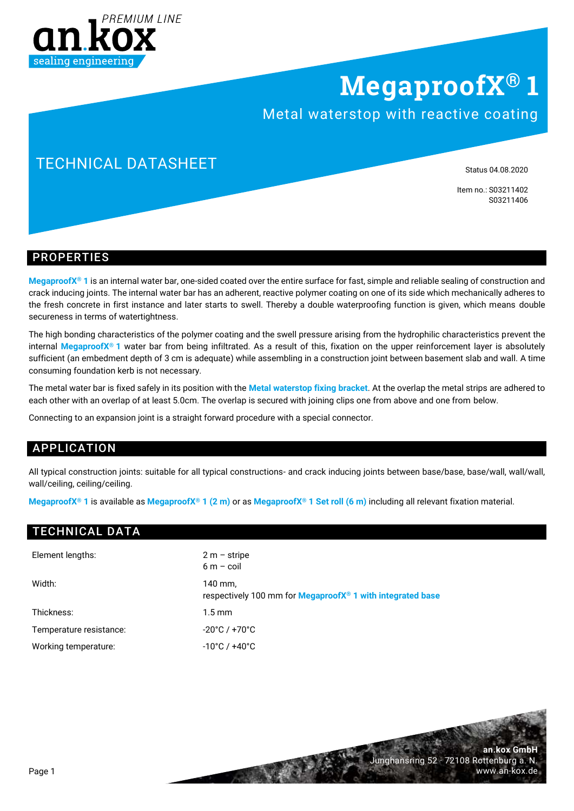

## **MegaproofX® 1**

### Metal waterstop with reactive coating

## TECHNICAL DATASHEET

Status 04.08.2020

**an.kox GmbH**

www.an-kox.de

Junghansring 52 · 72108 Rottenburg a. N.

Item no.: S03211402 S03211406

#### PROPERTIES

**MegaproofX® 1** is an internal water bar, one-sided coated over the entire surface for fast, simple and reliable sealing of construction and crack inducing joints. The internal water bar has an adherent, reactive polymer coating on one of its side which mechanically adheres to the fresh concrete in first instance and later starts to swell. Thereby a double waterproofing function is given, which means double secureness in terms of watertightness.

The high bonding characteristics of the polymer coating and the swell pressure arising from the hydrophilic characteristics prevent the internal **MegaproofX® 1** water bar from being infiltrated. As a result of this, fixation on the upper reinforcement layer is absolutely sufficient (an embedment depth of 3 cm is adequate) while assembling in a construction joint between basement slab and wall. A time consuming foundation kerb is not necessary.

The metal water bar is fixed safely in its position with the **Metal waterstop fixing bracket**. At the overlap the metal strips are adhered to each other with an overlap of at least 5.0cm. The overlap is secured with joining clips one from above and one from below.

Connecting to an expansion joint is a straight forward procedure with a special connector.

#### APPLICATION

All typical construction joints: suitable for all typical constructions- and crack inducing joints between base/base, base/wall, wall/wall, wall/ceiling, ceiling/ceiling.

**MegaproofX® 1** is available as **MegaproofX® 1 (2 m)** or as **MegaproofX® 1 Set roll (6 m)** including all relevant fixation material.

#### TECHNICAL DATA

| Element lengths:        | $2 m -$ stripe<br>$6m - \text{coil}$                                                    |
|-------------------------|-----------------------------------------------------------------------------------------|
| Width:                  | 140 mm,<br>respectively 100 mm for <b>MegaproofX<sup>®</sup> 1 with integrated base</b> |
| Thickness:              | $1.5 \,\mathrm{mm}$                                                                     |
| Temperature resistance: | $-20^{\circ}$ C / $+70^{\circ}$ C                                                       |
| Working temperature:    | $-10^{\circ}$ C / +40 $^{\circ}$ C                                                      |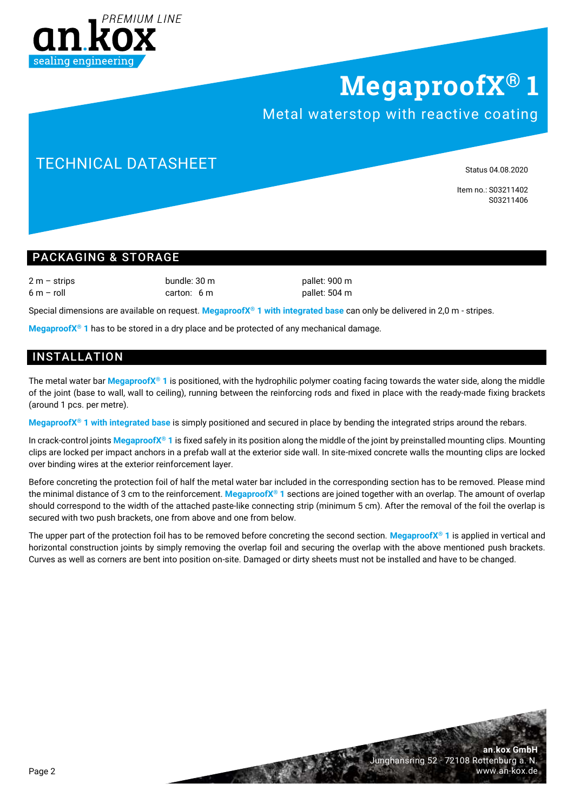

# **MegaproofX® 1**

## Metal waterstop with reactive coating

## TECHNICAL DATASHEET

Status 04.08.2020

Item no.: S03211402 S03211406

#### PACKAGING & STORAGE

2 m – strips bundle: 30 m pallet: 900 m 6 m – roll carton: 6 m pallet: 504 m

Special dimensions are available on request. **MegaproofX® 1 with integrated base** can only be delivered in 2,0 m - stripes.

**MegaproofX® 1** has to be stored in a dry place and be protected of any mechanical damage.

#### INSTALLATION

The metal water bar **MegaproofX® 1** is positioned, with the hydrophilic polymer coating facing towards the water side, along the middle of the joint (base to wall, wall to ceiling), running between the reinforcing rods and fixed in place with the ready-made fixing brackets (around 1 pcs. per metre).

**MegaproofX® 1 with integrated base** is simply positioned and secured in place by bending the integrated strips around the rebars.

In crack-control joints **MegaproofX® 1** is fixed safely in its position along the middle of the joint by preinstalled mounting clips. Mounting clips are locked per impact anchors in a prefab wall at the exterior side wall. In site-mixed concrete walls the mounting clips are locked over binding wires at the exterior reinforcement layer.

Before concreting the protection foil of half the metal water bar included in the corresponding section has to be removed. Please mind the minimal distance of 3 cm to the reinforcement. **MegaproofX® 1** sections are joined together with an overlap. The amount of overlap should correspond to the width of the attached paste-like connecting strip (minimum 5 cm). After the removal of the foil the overlap is secured with two push brackets, one from above and one from below.

The upper part of the protection foil has to be removed before concreting the second section. **MegaproofX® 1** is applied in vertical and horizontal construction joints by simply removing the overlap foil and securing the overlap with the above mentioned push brackets. Curves as well as corners are bent into position on-site. Damaged or dirty sheets must not be installed and have to be changed.

> **an.kox GmbH** Junghansring 52 · 72108 Rottenburg a. N. www.an-kox.de